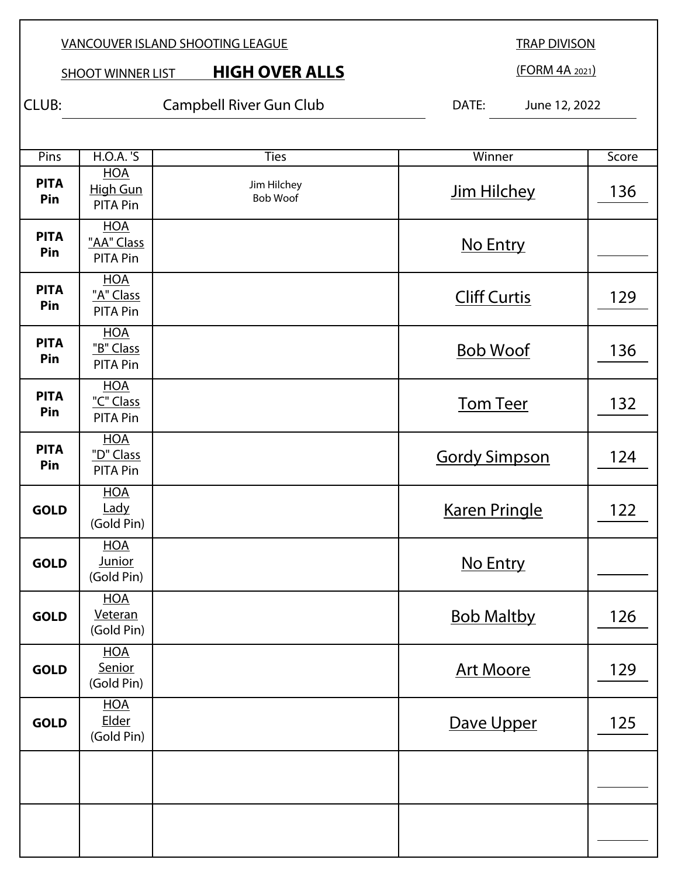TRAP DIVISON

**SHOOT WINNER LIST HIGH OVER ALLS** 

(FORM 4A 2021)

CLUB: Campbell River Gun Club DATE: June 12, 2022

| Pins               | <b>H.O.A.</b> 'S                            | <b>Ties</b>                    | Winner               | Score |
|--------------------|---------------------------------------------|--------------------------------|----------------------|-------|
| <b>PITA</b><br>Pin | <b>HOA</b><br>High Gun<br><b>PITA Pin</b>   | Jim Hilchey<br><b>Bob Woof</b> | Jim Hilchey          | 136   |
| <b>PITA</b><br>Pin | <b>HOA</b><br>"AA" Class<br><b>PITA Pin</b> |                                | No Entry             |       |
| <b>PITA</b><br>Pin | <b>HOA</b><br>"A" Class<br><b>PITA Pin</b>  |                                | <b>Cliff Curtis</b>  | 129   |
| <b>PITA</b><br>Pin | <b>HOA</b><br>"B" Class<br><b>PITA Pin</b>  |                                | <b>Bob Woof</b>      | 136   |
| <b>PITA</b><br>Pin | <b>HOA</b><br>"C" Class<br><b>PITA Pin</b>  |                                | <b>Tom Teer</b>      | 132   |
| <b>PITA</b><br>Pin | <b>HOA</b><br>"D" Class<br><b>PITA Pin</b>  |                                | <b>Gordy Simpson</b> | 124   |
| <b>GOLD</b>        | <b>HOA</b><br>Lady<br>(Gold Pin)            |                                | <b>Karen Pringle</b> | 122   |
| <b>GOLD</b>        | <b>HOA</b><br><b>Junior</b><br>(Gold Pin)   |                                | No Entry             |       |
| <b>GOLD</b>        | <b>HOA</b><br>Veteran<br>(Gold Pin)         |                                | <b>Bob Maltby</b>    | 126   |
| <b>GOLD</b>        | <u>HOA</u><br>Senior<br>(Gold Pin)          |                                | <b>Art Moore</b>     | 129   |
| <b>GOLD</b>        | <b>HOA</b><br>Elder<br>(Gold Pin)           |                                | Dave Upper           | 125   |
|                    |                                             |                                |                      |       |
|                    |                                             |                                |                      |       |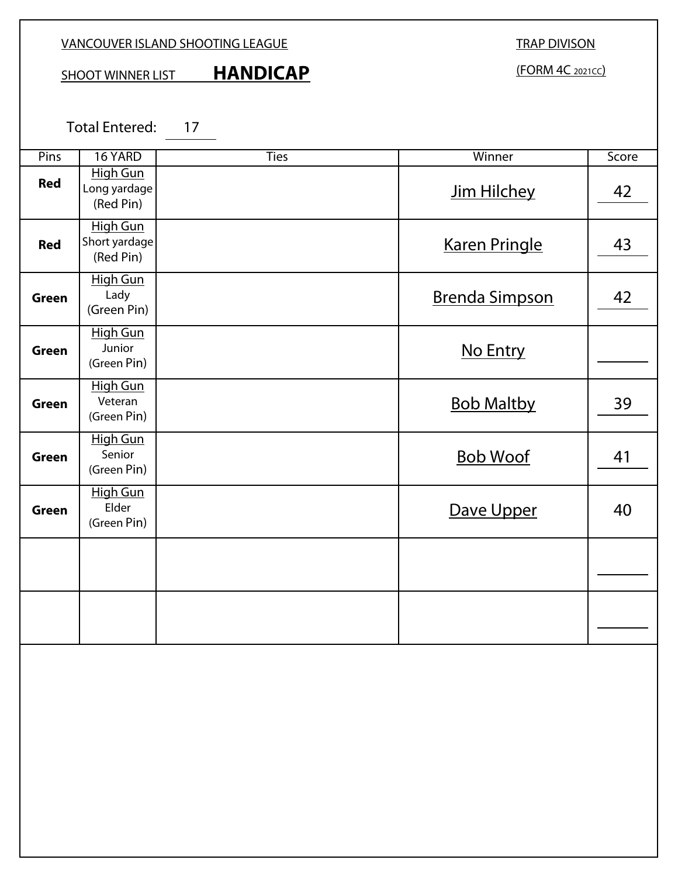SHOOT WINNER LIST **HANDICAP** 

TRAP DIVISON

(FORM 4C 2021CC)

Total Entered: 17

| Pins         | 16 YARD                                      | <b>Ties</b> | Winner                | Score |
|--------------|----------------------------------------------|-------------|-----------------------|-------|
| <b>Red</b>   | <b>High Gun</b><br>Long yardage<br>(Red Pin) |             | Jim Hilchey           | 42    |
| <b>Red</b>   | High Gun<br>Short yardage<br>(Red Pin)       |             | <b>Karen Pringle</b>  | 43    |
| <b>Green</b> | <b>High Gun</b><br>Lady<br>(Green Pin)       |             | <b>Brenda Simpson</b> | 42    |
| <b>Green</b> | <b>High Gun</b><br>Junior<br>(Green Pin)     |             | No Entry              |       |
| <b>Green</b> | <b>High Gun</b><br>Veteran<br>(Green Pin)    |             | <b>Bob Maltby</b>     | 39    |
| <b>Green</b> | <b>High Gun</b><br>Senior<br>(Green Pin)     |             | <b>Bob Woof</b>       | 41    |
| <b>Green</b> | <b>High Gun</b><br>Elder<br>(Green Pin)      |             | Dave Upper            | 40    |
|              |                                              |             |                       |       |
|              |                                              |             |                       |       |
|              |                                              |             |                       |       |
|              |                                              |             |                       |       |
|              |                                              |             |                       |       |
|              |                                              |             |                       |       |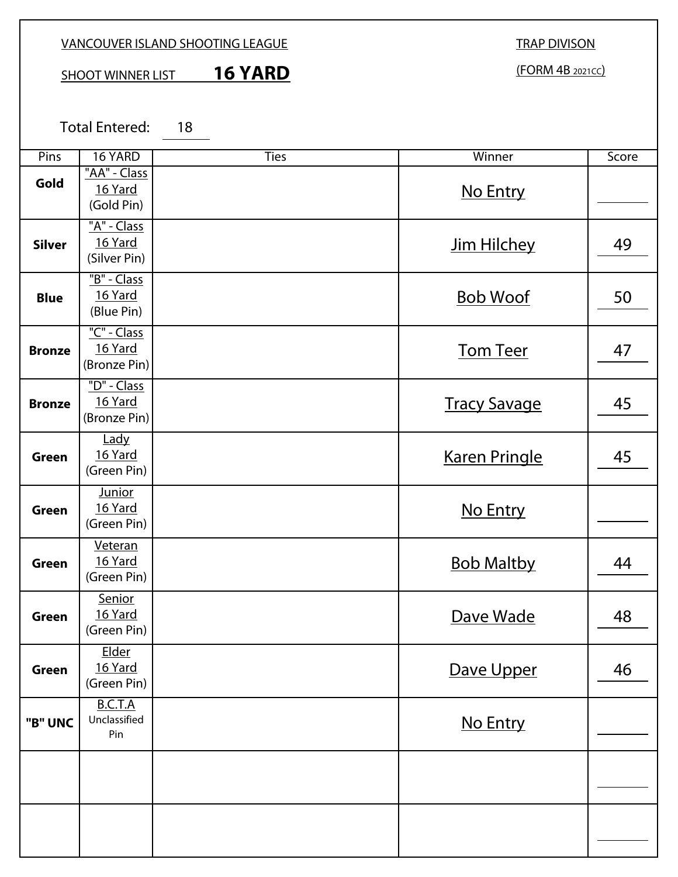## SHOOT WINNER LIST **16 YARD**

TRAP DIVISON (FORM 4B 2021CC)

Total Entered: 18

| Pins          | 16 YARD                                 | <b>Ties</b> | Winner               | Score |
|---------------|-----------------------------------------|-------------|----------------------|-------|
| Gold          | "AA" - Class<br>16 Yard<br>(Gold Pin)   |             | No Entry             |       |
| <b>Silver</b> | "A" - Class<br>16 Yard<br>(Silver Pin)  |             | Jim Hilchey          | 49    |
| <b>Blue</b>   | "B" - Class<br>16 Yard<br>(Blue Pin)    |             | <b>Bob Woof</b>      | 50    |
| <b>Bronze</b> | "C" - Class<br>16 Yard<br>(Bronze Pin)  |             | <b>Tom Teer</b>      | 47    |
| <b>Bronze</b> | "D" - Class<br>16 Yard<br>(Bronze Pin)  |             | <b>Tracy Savage</b>  | 45    |
| <b>Green</b>  | Lady<br>16 Yard<br>(Green Pin)          |             | <b>Karen Pringle</b> | 45    |
| <b>Green</b>  | <b>Junior</b><br>16 Yard<br>(Green Pin) |             | No Entry             |       |
| <b>Green</b>  | Veteran<br>16 Yard<br>(Green Pin)       |             | <b>Bob Maltby</b>    | 44    |
| <b>Green</b>  | Senior<br>16 Yard<br>(Green Pin)        |             | Dave Wade            | 48    |
| Green         | <b>Elder</b><br>16 Yard<br>(Green Pin)  |             | Dave Upper           | 46    |
| "B" UNC       | B.C.T.A<br>Unclassified<br>Pin          |             | No Entry             |       |
|               |                                         |             |                      |       |
|               |                                         |             |                      |       |